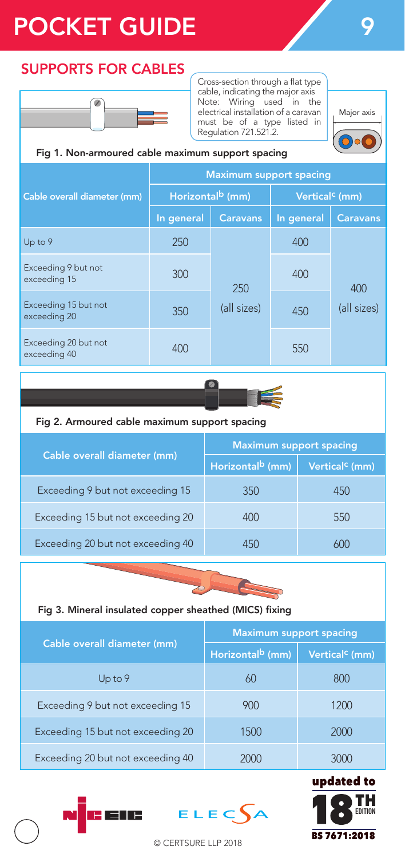# POCKET GUIDE 2022

### SUPPORTS FOR CABLES



Cross-section through a flat type cable, indicating the major axis Note: Wiring used in the electrical installation of a caravan must be of a type listed in Regulation 721.521.2.



### Fig 1. Non-armoured cable maximum support spacing

|                                      | <b>Maximum support spacing</b> |                    |                            |                    |
|--------------------------------------|--------------------------------|--------------------|----------------------------|--------------------|
| Cable overall diameter (mm)          | Horizontal <sup>b</sup> (mm)   |                    | Vertical <sup>c</sup> (mm) |                    |
|                                      | In general                     | <b>Caravans</b>    | In general                 | <b>Caravans</b>    |
| Up to 9                              | 250                            | 250<br>(all sizes) | 400                        | 400<br>(all sizes) |
| Exceeding 9 but not<br>exceeding 15  | 300                            |                    | 400                        |                    |
| Exceeding 15 but not<br>exceeding 20 | 350                            |                    | 450                        |                    |
| Exceeding 20 but not<br>exceeding 40 | 400                            |                    | 550                        |                    |



### Fig 2. Armoured cable maximum support spacing

|                                   | <b>Maximum support spacing</b> |                            |  |
|-----------------------------------|--------------------------------|----------------------------|--|
| Cable overall diameter (mm)       | Horizontal <sup>b</sup> (mm)   | Vertical <sup>c</sup> (mm) |  |
| Exceeding 9 but not exceeding 15  | 350                            | 450                        |  |
| Exceeding 15 but not exceeding 20 | 400                            | 550                        |  |
| Exceeding 20 but not exceeding 40 | 451                            |                            |  |



### Fig 3. Mineral insulated copper sheathed (MICS) fixing

|                                   | <b>Maximum support spacing</b> |                            |  |
|-----------------------------------|--------------------------------|----------------------------|--|
| Cable overall diameter (mm)       | Horizontal <sup>b</sup> (mm)   | Vertical <sup>c</sup> (mm) |  |
| $Up$ to $9$                       | 60                             | 800                        |  |
| Exceeding 9 but not exceeding 15  | 900                            | 1200                       |  |
| Exceeding 15 but not exceeding 20 | 1500                           | 2000                       |  |
| Exceeding 20 but not exceeding 40 | $($ )( )( $)$                  | 30 N N                     |  |



© CERTSURE LLP 2018

H ETE

 $ELEC$